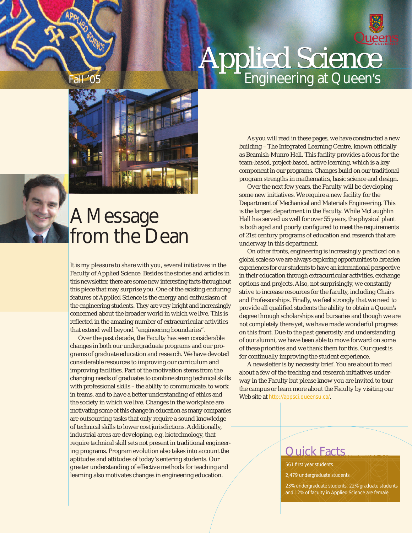



### A Message from the Dean

It is my pleasure to share with you, several initiatives in the Faculty of Applied Science. Besides the stories and articles in this newsletter, there are some new interesting facts throughout this piece that may surprise you. One of the existing enduring features of Applied Science is the energy and enthusiasm of the engineering students. They are very bright and increasingly concerned about the broader world in which we live. This is reflected in the amazing number of extracurricular activities that extend well beyond "engineering boundaries".

Over the past decade, the Faculty has seen considerable changes in both our undergraduate programs and our programs of graduate education and research. We have devoted considerable resources to improving our curriculum and improving facilities. Part of the motivation stems from the changing needs of graduates to combine strong technical skills with professional skills – the ability to communicate, to work in teams, and to have a better understanding of ethics and the society in which we live. Changes in the workplace are motivating some of this change in education as many companies are outsourcing tasks that only require a sound knowledge of technical skills to lower cost jurisdictions. Additionally, industrial areas are developing, e.g. biotechnology, that require technical skill sets not present in traditional engineering programs. Program evolution also takes into account the aptitudes and attitudes of today's entering students. Our greater understanding of effective methods for teaching and learning also motivates changes in engineering education.

Fall '05 Engineering at Queen's Applied Science

> As you will read in these pages, we have constructed a new building – The Integrated Learning Centre, known officially as Beamish-Munro Hall. This facility provides a focus for the team-based, project-based, active learning, which is a key component in our programs. Changes build on our traditional program strengths in mathematics, basic science and design.

> Over the next few years, the Faculty will be developing some new initiatives. We require a new facility for the Department of Mechanical and Materials Engineering. This is the largest department in the Faculty. While McLaughlin Hall has served us well for over 55 years, the physical plant is both aged and poorly configured to meet the requirements of 21st century programs of education and research that are underway in this department.

> On other fronts, engineering is increasingly practiced on a global scale so we are always exploring opportunities to broaden experiences for our students to have an international perspective in their education through extracurricular activities, exchange options and projects. Also, not surprisingly, we constantly strive to increase resources for the faculty, including Chairs and Professorships. Finally, we feel strongly that we need to provide all qualified students the ability to obtain a Queen's degree through scholarships and bursaries and though we are not completely there yet, we have made wonderful progress on this front. Due to the past generosity and understanding of our alumni, we have been able to move forward on some of these priorities and we thank them for this. Our quest is for continually improving the student experience.

A newsletter is by necessity brief. You are about to read about a few of the teaching and research initiatives underway in the Faculty but please know you are invited to tour the campus or learn more about the Faculty by visiting our Web site at http://appsci.queensu.ca/.

### Quick Facts

561 first year students

2,479 undergraduate students

23% undergraduate students, 22% graduate students and 12% of faculty in Applied Science are female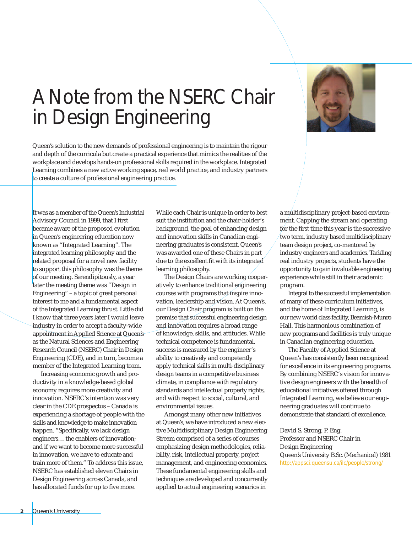### A Note from the NSERC Chair in Design Engineering



Queen's solution to the new demands of professional engineering is to maintain the rigour and depth of the curricula but create a practical experience that mimics the realities of the workplace and develops hands-on professional skills required in the workplace. Integrated Learning combines a new active working space, real world practice, and industry partners to create a culture of professional engineering practice.

It was as a member of the Queen's Industrial Advisory Council in 1999, that I first became aware of the proposed evolution in Queen's engineering education now known as "Integrated Learning". The integrated learning philosophy and the related proposal for a novel new facility to support this philosophy was the theme of our meeting. Serendipitously, a year later the meeting theme was "Design in Engineering" – a topic of great personal interest to me and a fundamental aspect of the Integrated Learning thrust. Little did I know that three years later I would leave industry in order to accept a faculty-wide appointment in Applied Science at Queen's as the Natural Sciences and Engineering Research Council (NSERC) Chair in Design Engineering (CDE), and in turn, become a member of the Integrated Learning team.

Increasing economic growth and productivity in a knowledge-based global economy requires more creativity and innovation. NSERC's intention was very clear in the CDE prospectus – Canada is experiencing a shortage of people with the skills and knowledge to make innovation happen. "Specifically, we lack design engineers… the enablers of innovation; and if we want to become more successful in innovation, we have to educate and train more of them." To address this issue, NSERC has established eleven Chairs in Design Engineering across Canada, and has allocated funds for up to five more.

While each Chair is unique in order to best suit the institution and the chair-holder's background, the goal of enhancing design and innovation skills in Canadian engineering graduates is consistent. Queen's was awarded one of these Chairs in part due to the excellent fit with its integrated learning philosophy.

The Design Chairs are working cooperatively to enhance traditional engineering courses with programs that inspire innovation, leadership and vision. At Queen's, our Design Chair program is built on the premise that successful engineering design and innovation requires a broad range of knowledge, skills, and attitudes. While technical competence is fundamental, success is measured by the engineer's ability to creatively and competently apply technical skills in multi-disciplinary design teams in a competitive business climate, in compliance with regulatory standards and intellectual property rights, and with respect to social, cultural, and environmental issues.

Amongst many other new initiatives at Queen's, we have introduced a new elective Multidisciplinary Design Engineering Stream comprised of a series of courses emphasizing design methodologies, reliability, risk, intellectual property, project management, and engineering economics. These fundamental engineering skills and techniques are developed and concurrently applied to actual engineering scenarios in

a multidisciplinary project-based environment. Capping the stream and operating for the first time this year is the successive two term, industry based multidisciplinary team design project, co-mentored by industry engineers and academics. Tackling real industry projects, students have the opportunity to gain invaluable engineering experience while still in their academic program.

Integral to the successful implementation of many of these curriculum initiatives, and the home of Integrated Learning, is our new world class facility, Beamish-Munro Hall. This harmonious combination of new programs and facilities is truly unique in Canadian engineering education.

The Faculty of Applied Science at Queen's has consistently been recognized for excellence in its engineering programs. By combining NSERC's vision for innovative design engineers with the breadth of educational initiatives offered through Integrated Learning, we believe our engineering graduates will continue to demonstrate that standard of excellence.

David S. Strong, P. Eng. Professor and NSERC Chair in Design Engineering Queen's University B.Sc. (Mechanical) 1981 http://appsci.queensu.ca/ilc/people/strong/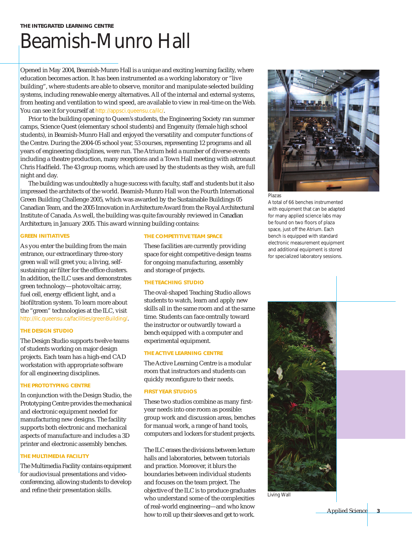# Beamish-Munro Hall

Opened in May 2004, Beamish-Munro Hall is a unique and exciting learning facility, where education becomes action. It has been instrumented as a working laboratory or "live building", where students are able to observe, monitor and manipulate selected building systems, including renewable energy alternatives. All of the internal and external systems, from heating and ventilation to wind speed, are available to view in real-time on the Web. You can see it for yourself at http://appsci.queensu.ca/ilc/.

Prior to the building opening to Queen's students, the Engineering Society ran summer camps, Science Quest (elementary school students) and Engenuity (female high school students), in Beamish-Munro Hall and enjoyed the versatility and computer functions of the Centre. During the 2004-05 school year, 53 courses, representing 12 programs and all years of engineering disciplines, were run. The Atrium held a number of diverse events including a theatre production, many receptions and a Town Hall meeting with astronaut Chris Hadfield. The 43 group rooms, which are used by the students as they wish, are full night and day.

The building was undoubtedly a huge success with faculty, staff and students but it also impressed the architects of the world. Beamish-Munro Hall won the Fourth International Green Building Challenge 2005, which was awarded by the Sustainable Buildings 05 Canadian Team, and the 2005 Innovation in Architecture Award from the Royal Architectural Institute of Canada. As well, the building was quite favourably reviewed in *Canadian Architecture*, in January 2005. This award winning building contains:

### **GREEN INITIATIVES**

As you enter the building from the main entrance, our extraordinary three-story green wall will greet you; a living, selfsustaining air filter for the office clusters. In addition, the ILC uses and demonstrates green technology—photovoltaic array, fuel cell, energy efficient light, and a biofiltration system. To learn more about the "green" technologies at the ILC, visit http://ilc.queensu.ca/facilities/greenBuilding/.

### **THE DESIGN STUDIO**

The Design Studio supports twelve teams of students working on major design projects. Each team has a high-end CAD workstation with appropriate software for all engineering disciplines.

### **THE PROTOTYPING CENTRE**

In conjunction with the Design Studio, the Prototyping Centre provides the mechanical and electronic equipment needed for manufacturing new designs. The facility supports both electronic and mechanical aspects of manufacture and includes a 3D printer and electronic assembly benches.

### **THE MULTIMEDIA FACILITY**

The Multimedia Facility contains equipment for audiovisual presentations and videoconferencing, allowing students to develop

#### **THE COMPETITIVE TEAM SPACE**

These facilities are currently providing space for eight competitive design teams for ongoing manufacturing, assembly and storage of projects.

### **THE TEACHING STUDIO**

The oval-shaped Teaching Studio allows students to watch, learn and apply new skills all in the same room and at the same time. Students can face centrally toward the instructor or outwardly toward a bench equipped with a computer and experimental equipment.

### **THE ACTIVE LEARNING CENTRE**

The Active Learning Centre is a modular room that instructors and students can quickly reconfigure to their needs.

### **FIRST YEAR STUDIOS**

These two studios combine as many firstyear needs into one room as possible: group work and discussion areas, benches for manual work, a range of hand tools, computers and lockers for student projects.

and refine their presentation skills. and refine their presentation skills. And the ILC is to produce graduates The ILC erases the divisions between lecture halls and laboratories, between tutorials and practice. Moreover, it blurs the boundaries between individual students and focuses on the team project. The who understand some of the complexities of real-world engineering—and who know how to roll up their sleeves and get to work.



Plazas

A total of 66 benches instrumented with equipment that can be adapted for many applied science labs may be found on two floors of plaza space, just off the Atrium. Each bench is equipped with standard electronic measurement equipment and additional equipment is stored for specialized laboratory sessions.

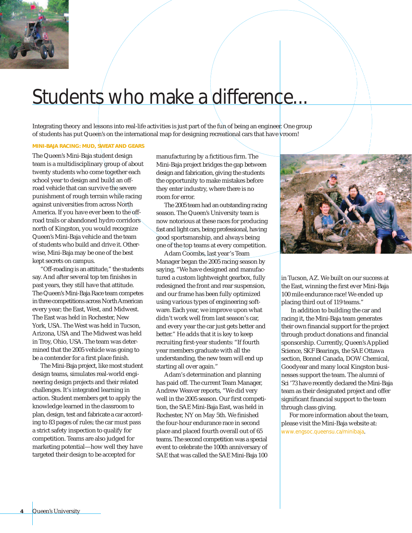

### Students who make a difference...

Integrating theory and lessons into real-life activities is just part of the fun of being an engineer. One group of students has put Queen's on the international map for designing recreational cars that have vroom!

### **MINI-BAJA RACING: MUD, SWEAT AND GEARS**

The Queen's Mini-Baja student design team is a multidisciplinary group of about twenty students who come together each school year to design and build an offroad vehicle that can survive the severe punishment of rough terrain while racing against universities from across North America. If you have ever been to the offroad trails or abandoned hydro corridors north of Kingston, you would recognize Queen's Mini-Baja vehicle and the team of students who build and drive it. Otherwise, Mini-Baja may be one of the best kept secrets on campus.

"Off-roading is an attitude," the students say. And after several top ten finishes in past years, they still have that attitude. The Queen's Mini-Baja Race team competes in three competitions across North American every year; the East, West, and Midwest. The East was held in Rochester, New York, USA. The West was held in Tucson, Arizona, USA and The Midwest was held in Troy, Ohio, USA. The team was determined that the 2005 vehicle was going to be a contender for a first place finish.

The Mini-Baja project, like most student design teams, simulates real-world engineering design projects and their related challenges. It's integrated learning in action. Student members get to apply the knowledge learned in the classroom to plan, design, test and fabricate a car according to 83 pages of rules; the car must pass a strict safety inspection to qualify for competition. Teams are also judged for marketing potential—how well they have targeted their design to be accepted for

manufacturing by a fictitious firm. The Mini-Baja project bridges the gap between design and fabrication, giving the students the opportunity to make mistakes before they enter industry, where there is no room for error.

The 2005 team had an outstanding racing season. The Queen's University team is now notorious at these races for producing fast and light cars, being professional, having good sportsmanship, and always being one of the top teams at every competition.

Adam Coombs, last year's Team Manager began the 2005 racing season by saying, "We have designed and manufactured a custom lightweight gearbox, fully redesigned the front and rear suspension, and our frame has been fully optimized using various types of engineering software. Each year, we improve upon what didn't work well from last season's car, and every year the car just gets better and better." He adds that it is key to keep recruiting first-year students: "If fourth year members graduate with all the understanding, the new team will end up starting all over again."

Adam's determination and planning has paid off. The current Team Manager, Andrew Weaver reports, "We did very well in the 2005 season. Our first competition, the SAE Mini-Baja East, was held in Rochester, NY on May 5th. We finished the four-hour endurance race in second place and placed fourth overall out of 65 teams. The second competition was a special event to celebrate the 100th anniversary of SAE that was called the SAE Mini-Baja 100



in Tucson, AZ. We built on our success at the East, winning the first ever Mini-Baja 100 mile endurance race! We ended up placing third out of 119 teams."

In addition to building the car and racing it, the Mini-Baja team generates their own financial support for the project through product donations and financial sponsorship. Currently, Queen's Applied Science, SKF Bearings, the SAE Ottawa section, Bonnel Canada, DOW Chemical, Goodyear and many local Kingston businesses support the team. The alumni of Sci '73 have recently declared the Mini-Baja team as their designated project and offer significant financial support to the team through class giving.

For more information about the team, please visit the Mini-Baja website at: www.engsoc.queensu.ca/minibaja.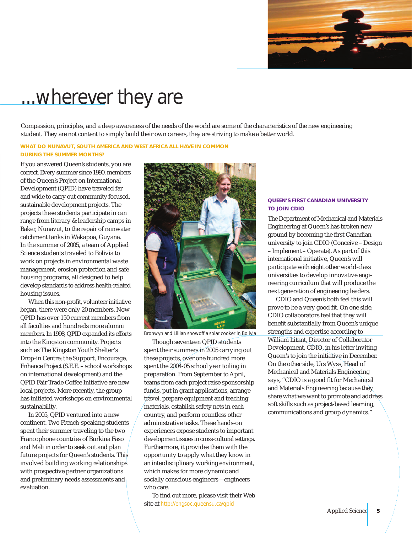

## ...wherever they are

Compassion, principles, and a deep awareness of the needs of the world are some of the characteristics of the new engineering student. They are not content to simply build their own careers, they are striving to make a better world.

#### **WHAT DO NUNAVUT, SOUTH AMERICA AND WEST AFRICA ALL HAVE IN COMMON DURING THE SUMMER MONTHS?**

If you answered Queen's students, you are correct. Every summer since 1990, members of the Queen's Project on International Development (QPID) have traveled far and wide to carry out community focused, sustainable development projects. The projects these students participate in can range from literacy & leadership camps in Baker, Nunavut, to the repair of rainwater catchment tanks in Wakapoa, Guyana. In the summer of 2005, a team of Applied Science students traveled to Bolivia to work on projects in environmental waste management, erosion protection and safe housing programs, all designed to help develop standards to address health-related housing issues.

When this non-profit, volunteer initiative began, there were only 20 members. Now QPID has over 150 current members from all faculties and hundreds more alumni members. In 1998, QPID expanded its efforts into the Kingston community. Projects such as The Kingston Youth Shelter's Drop-in Centre; the Support, Encourage, Enhance Project (S.E.E. – school workshops on international development) and the QPID Fair Trade Coffee Initiative are new local projects. More recently, the group has initiated workshops on environmental sustainability.

In 2005, QPID ventured into a new continent. Two French-speaking students spent their summer traveling to the two Francophone countries of Burkina Faso and Mali in order to seek out and plan future projects for Queen's students. This involved building working relationships with prospective partner organizations and preliminary needs assessments and evaluation.



Bronwyn and Lillian showoff a solar cooker in Bolivia

Though seventeen QPID students spent their summers in 2005 carrying out these projects, over one hundred more spent the 2004-05 school year toiling in preparation. From September to April, teams from each project raise sponsorship funds, put in grant applications, arrange travel, prepare equipment and teaching materials, establish safety nets in each country, and perform countless other administrative tasks. These hands-on experiences expose students to important development issues in cross-cultural settings. Furthermore, it provides them with the opportunity to apply what they know in an interdisciplinary working environment, which makes for more dynamic and socially conscious engineers—engineers who care.

To find out more, please visit their Web site at http://engsoc.queensu.ca/qpid

### **QUEEN'S FIRST CANADIAN UNIVERSITY TO JOIN CDIO**

The Department of Mechanical and Materials Engineering at Queen's has broken new ground by becoming the first Canadian university to join CDIO (Conceive – Design – Implement – Operate). As part of this international initiative, Queen's will participate with eight other world-class universities to develop innovative engineering curriculum that will produce the next generation of engineering leaders.

CDIO and Queen's both feel this will prove to be a very good fit. On one side, CDIO collaborators feel that they will benefit substantially from Queen's unique strengths and expertise according to William Litant, Director of Collaborator Development, CDIO, in his letter inviting Queen's to join the initiative in December. On the other side, Urs Wyss, Head of Mechanical and Materials Engineering says, "CDIO is a good fit for Mechanical and Materials Engineering because they share what we want to promote and address soft skills such as project-based learning, communications and group dynamics."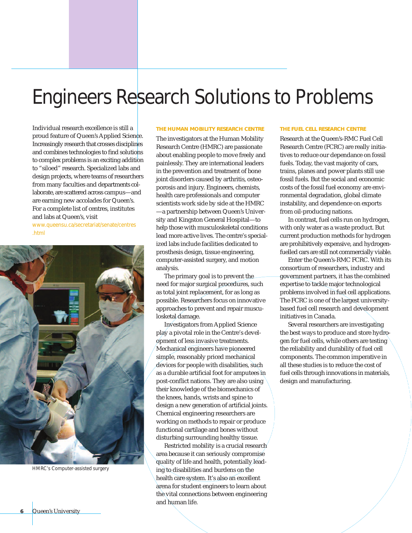# Engineers Research Solutions to Problems

Individual research excellence is still a proud feature of Queen's Applied Science. Increasingly research that crosses disciplines and combines technologies to find solutions to complex problems is an exciting addition to "siloed" research. Specialized labs and design projects, where teams of researchers from many faculties and departments collaborate, are scattered across campus—and are earning new accolades for Queen's. For a complete list of centres, institutes and labs at Queen's, visit

www.queensu.ca/secretariat/senate/centres .html



HMRC's Computer-assisted surgery

#### **THE HUMAN MOBILITY RESEARCH CENTRE**

The investigators at the Human Mobility Research Centre (HMRC) are passionate about enabling people to move freely and painlessly. They are international leaders in the prevention and treatment of bone joint disorders caused by arthritis, osteoporosis and injury. Engineers, chemists, health care professionals and computer scientists work side by side at the HMRC —a partnership between Queen's University and Kingston General Hospital—to help those with musculoskeletal conditions lead more active lives. The centre's specialized labs include facilities dedicated to prosthesis design, tissue engineering, computer-assisted surgery, and motion analysis.

The primary goal is to prevent the need for major surgical procedures, such as total joint replacement, for as long as possible. Researchers focus on innovative approaches to prevent and repair musculosketal damage.

Investigators from Applied Science play a pivotal role in the Centre's development of less invasive treatments. Mechanical engineers have pioneered simple, reasonably priced mechanical devices for people with disabilities, such as a durable artificial foot for amputees in post-conflict nations. They are also using their knowledge of the biomechanics of the knees, hands, wrists and spine to design a new generation of artificial joints. Chemical engineering researchers are working on methods to repair or produce functional cartilage and bones without disturbing surrounding healthy tissue.

Restricted mobility is a crucial research area because it can seriously compromise quality of life and health, potentially leading to disabilities and burdens on the health care system. It's also an excellent arena for student engineers to learn about the vital connections between engineering and human life.

#### **THE FUEL CELL RESEARCH CENTRE**

Research at the Queen's-RMC Fuel Cell Research Centre (FCRC) are really initiatives to reduce our dependance on fossil fuels. Today, the vast majority of cars, trains, planes and power plants still use fossil fuels. But the social and economic costs of the fossil fuel economy are environmental degradation, global climate instability, and dependence on exports from oil-producing nations.

In contrast, fuel cells run on hydrogen, with only water as a waste product. But current production methods for hydrogen are prohibitively expensive, and hydrogenfuelled cars are still not commercially viable.

Enter the Queen's-RMC FCRC. With its consortium of researchers, industry and government partners, it has the combined expertise to tackle major technological problems involved in fuel cell applications. The FCRC is one of the largest universitybased fuel cell research and development initiatives in Canada.

Several researchers are investigating the best ways to produce and store hydrogen for fuel cells, while others are testing the reliability and durability of fuel cell components. The common imperative in all these studies is to reduce the cost of fuel cells through innovations in materials, design and manufacturing.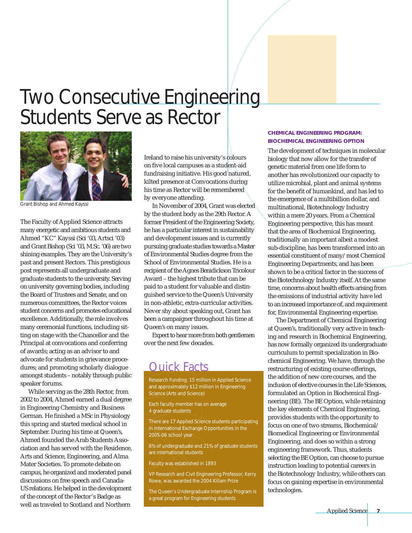### Two Consecutive Engineering Students Serve as Rector



Grant Bishop and Ahmed Kayssi

The Faculty of Applied Science attracts many energetic and ambitious students and Ahmed "KC" Kayssi (Sci '03, Artsci '03) and Grant Bishop (Sci '03, M.Sc. '06) are two shining examples. They are the University's past and present Rectors. This prestigious post represents all undergraduate and graduate students to the university. Serving on university governing bodies, including the Board of Trustees and Senate, and on numerous committees, the Rector voices student concerns and promotes educational excellence. Additionally, the role involves many ceremonial functions, including sitting on stage with the Chancellor and the Principal at convocations and conferring of awards; acting as an advisor to and advocate for students in grievance procedures; and promoting scholarly dialogue amongst students – notably through public speaker forums.

While serving as the 28th Rector, from 2002 to 2004, Ahmed earned a dual degree in Engineering Chemistry and Business German. He finished a MSc in Physiology this spring and started medical school in September. During his time at Queen's, Ahmed founded the Arab Students Association and has served with the Residence, Arts and Science, Engineering, and Alma Mater Societies. To promote debate on campus, he organized and moderated panel discussions on free speech and Canada-US relations. He helped in the development of the concept of the Rector's Badge as well as traveled to Scotland and Northern

Ireland to raise his university's colours on five local campuses as a student-aid fundraising initiative. His good natured, kilted presence at Convocations during his time as Rector will be remembered by everyone attending.

In November of 2004, Grant was elected by the student body as the 29th Rector. A former President of the Engineering Society, he has a particular interest in sustainability and development issues and is currently pursuing graduate studies towards a Master of Environmental Studies degree from the School of Environmental Studies. He is a recipient of the Agnes Benidickson Tricolour Award – the highest tribute that can be paid to a student for valuable and distinguished service to the Queen's University in non-athletic, extra-curricular activities. Never shy about speaking out, Grant has been a campaigner throughout his time at Queen's on many issues.

Expect to hear more from both gentlemen over the next few decades.

### Quick Facts

Research Funding: 15 million in Applied Science and approximately \$12 million in Engineering Science (Arts and Science)

Each faculty member has on average 4 graduate students

There are 17 Applied Science students participating in International Exchange Opportunities in the 2005-06 school year

6% of undergraduate and 21% of graduate students are international students

Faculty was established in 1893

VP Research and Civil Engineering Professor, Kerry Rowe, was awarded the 2004 Killam Prize

The Queen's Undergraduate Internship Program is a great program for Engineering students

### **CHEMICAL ENGINEERING PROGRAM: BIOCHEMICAL ENGINEERING OPTION**

The development of techniques in molecular biology that now allow for the transfer of genetic material from one life form to another has revolutionized our capacity to utilize microbial, plant and animal systems for the benefit of humankind, and has led to the emergence of a multibillion dollar, and multinational, Biotechnology Industry within a mere 20 years. From a Chemical Engineering perspective, this has meant that the area of Biochemical Engineering, traditionally an important albeit a modest sub-discipline, has been transformed into an essential constituent of many/most Chemical Engineering Departments, and has been shown to be a critical factor in the success of the Biotechnology Industry itself. At the same time, concerns about health effects arising from the emissions of industrial activity have led to an increased importance of, and requirement for, Environmental Engineering expertise.

The Department of Chemical Engineering at Queen's, traditionally very active in teaching and research in Biochemical Engineering, has now formally organized its undergraduate curriculum to permit specialization in Biochemical Engineering. We have, through the restructuring of existing course offerings, the addition of new core courses, and the inclusion of elective courses in the Life Sciences, formulated an Option in Biochemical Engineering (BE). The BE Option, while retaining the key elements of Chemical Engineering, provides students with the opportunity to focus on one of two streams, Biochemical/ Biomedical Engineering or Environmental Engineering, and does so within a strong engineering framework. Thus, students selecting the BE Option, can choose to pursue instruction leading to potential careers in the Biotechnology Industry, while others can focus on gaining expertise in environmental technologies.

Applied Science **7**